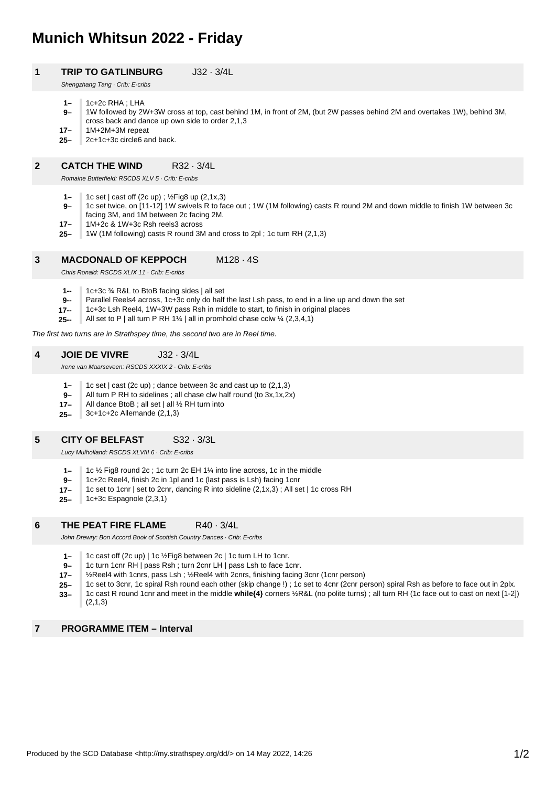# **Munich Whitsun 2022 - Friday**

# **1 TRIP TO GATLINBURG** J32 · 3/4L

Shengzhang Tang · Crib: E-cribs

- **1–**  $1c+2c$  RHA  $\cdot$  LHA
- **9–** 1W followed by 2W+3W cross at top, cast behind 1M, in front of 2M, (but 2W passes behind 2M and overtakes 1W), behind 3M, cross back and dance up own side to order 2,1,3
- **17–** 1M+2M+3M repeat
- **25–** 2c+1c+3c circle6 and back.

## **2 CATCH THE WIND R32 · 3/4L**

Romaine Butterfield: RSCDS XLV 5 · Crib: E-cribs

- **1–** 1c set | cast off (2c up) ; ½Fig8 up (2,1x,3)
- **9–** 1c set twice, on [11-12] 1W swivels R to face out ; 1W (1M following) casts R round 2M and down middle to finish 1W between 3c facing 3M, and 1M between 2c facing 2M.
- **17–** 1M+2c & 1W+3c Rsh reels3 across
- **25–** 1W (1M following) casts R round 3M and cross to 2pl ; 1c turn RH (2,1,3)

#### **3 MACDONALD OF KEPPOCH** M128 · 4S

Chris Ronald: RSCDS XLIX 11 · Crib: E-cribs

- **1--** 1c+3c ¾ R&L to BtoB facing sides | all set
- **9--** Parallel Reels4 across, 1c+3c only do half the last Lsh pass, to end in a line up and down the set
- **17--** 1c+3c Lsh Reel4, 1W+3W pass Rsh in middle to start, to finish in original places
- **25--** All set to P | all turn P RH 1¼ | all in promhold chase cclw ¼  $(2,3,4,1)$

The first two turns are in Strathspey time, the second two are in Reel time.

#### **4 JOIE DE VIVRE** J32 · 3/4L

Irene van Maarseveen: RSCDS XXXIX 2 · Crib: E-cribs

- **1–** 1c set | cast (2c up) ; dance between 3c and cast up to (2,1,3)
- **9–** All turn P RH to sidelines ; all chase clw half round (to 3x,1x,2x)
- **17–** All dance BtoB ; all set | all ½ RH turn into
- **25–** 3c+1c+2c Allemande (2,1,3)

#### **5 CITY OF BELFAST** S32 · 3/3L

Lucy Mulholland: RSCDS XLVIII 6 · Crib: E-cribs

- **1–** 1c ½ Fig8 round 2c ; 1c turn 2c EH 1¼ into line across, 1c in the middle
- **9–** 1c+2c Reel4, finish 2c in 1pl and 1c (last pass is Lsh) facing 1cnr
- **17–** 1c set to 1cnr | set to 2cnr, dancing R into sideline (2,1x,3) ; All set | 1c cross RH
- **25–** 1c+3c Espagnole (2.3.1)

### **6 THE PEAT FIRE FLAME** R40 · 3/4L

John Drewry: Bon Accord Book of Scottish Country Dances · Crib: E-cribs

- **1–** 1c cast off (2c up) | 1c ½Fig8 between 2c | 1c turn LH to 1cnr.
- **9–** 1c turn 1cnr RH | pass Rsh ; turn 2cnr LH | pass Lsh to face 1cnr.
- **17–** ½Reel4 with 1cnrs, pass Lsh ; ½Reel4 with 2cnrs, finishing facing 3cnr (1cnr person)
- **25–** 1c set to 3cnr, 1c spiral Rsh round each other (skip change !) ; 1c set to 4cnr (2cnr person) spiral Rsh as before to face out in 2plx.

**33–** 1c cast R round 1cnr and meet in the middle **while{4}** corners ½R&L (no polite turns) ; all turn RH (1c face out to cast on next [1-2]) (2,1,3)

# **7 PROGRAMME ITEM – Interval**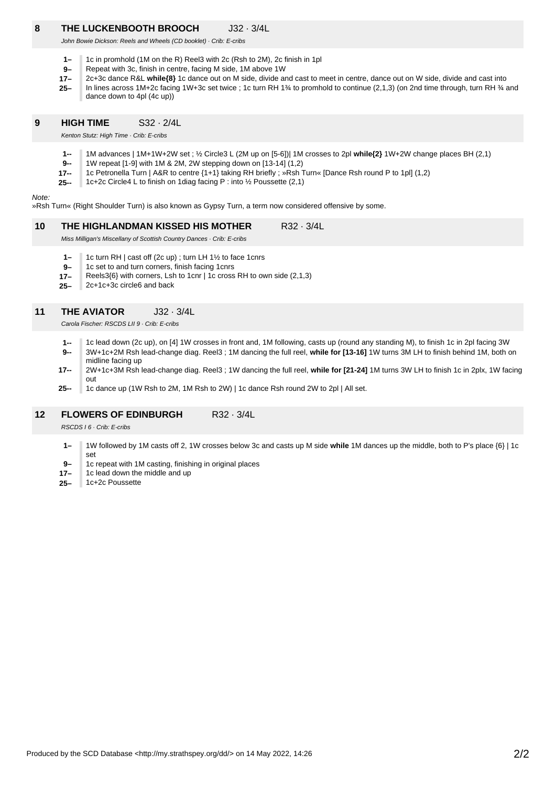# **8 THE LUCKENBOOTH BROOCH** J32 · 3/4L

John Bowie Dickson: Reels and Wheels (CD booklet) · Crib: E-cribs

- **1–** 1c in promhold (1M on the R) Reel3 with 2c (Rsh to 2M), 2c finish in 1pl
- **9–** Repeat with 3c, finish in centre, facing M side, 1M above 1W
- **17–** 2c+3c dance R&L **while{8}** 1c dance out on M side, divide and cast to meet in centre, dance out on W side, divide and cast into
- **25–** In lines across 1M+2c facing 1W+3c set twice ; 1c turn RH 1¼ to promhold to continue (2,1,3) (on 2nd time through, turn RH ¼ and dance down to 4pl (4c up))

#### **9 HIGH TIME** S32 · 2/4L

Kenton Stutz: High Time · Crib: F-cribs

- **1--** 1M advances | 1M+1W+2W set ; ½ Circle3 L (2M up on [5-6])| 1M crosses to 2pl **while{2}** 1W+2W change places BH (2,1)
- **9--** 1W repeat [1-9] with 1M & 2M, 2W stepping down on [13-14] (1,2)
- **17--** 1c Petronella Turn | A&R to centre {1+1} taking RH briefly ; »Rsh Turn« [Dance Rsh round P to 1pl] (1,2)
- **25--** 1c+2c Circle4 L to finish on 1diag facing P : into ½ Poussette (2,1)

# Note:

»Rsh Turn« (Right Shoulder Turn) is also known as Gypsy Turn, a term now considered offensive by some.

#### **10 THE HIGHLANDMAN KISSED HIS MOTHER** R32 · 3/4L

Miss Milligan's Miscellany of Scottish Country Dances · Crib: E-cribs

- **1–** 1c turn RH | cast off (2c up) ; turn LH 1½ to face 1cnrs
- **9–** 1c set to and turn corners, finish facing 1cnrs
- **17–** Reels3{6} with corners, Lsh to 1cnr | 1c cross RH to own side (2,1,3)
- **25–** 2c+1c+3c circle6 and back

### **11 THE AVIATOR** J32 · 3/4L

Carola Fischer: RSCDS LII 9 · Crib: E-cribs

- **1--** 1c lead down (2c up), on [4] 1W crosses in front and, 1M following, casts up (round any standing M), to finish 1c in 2pl facing 3W
- **9--** 3W+1c+2M Rsh lead-change diag. Reel3 ; 1M dancing the full reel, **while for [13-16]** 1W turns 3M LH to finish behind 1M, both on midline facing up
- **17--** 2W+1c+3M Rsh lead-change diag. Reel3 ; 1W dancing the full reel, **while for [21-24]** 1M turns 3W LH to finish 1c in 2plx, 1W facing out
- **25--** 1c dance up (1W Rsh to 2M, 1M Rsh to 2W) | 1c dance Rsh round 2W to 2pl | All set.

# **12 FLOWERS OF EDINBURGH** R32 · 3/4L

RSCDS I 6 · Crib: E-cribs

- **1–** 1W followed by 1M casts off 2, 1W crosses below 3c and casts up M side **while** 1M dances up the middle, both to P's place {6} | 1c set
- **9–** 1c repeat with 1M casting, finishing in original places
- **17–** 1c lead down the middle and up
- **25–** 1c+2c Poussette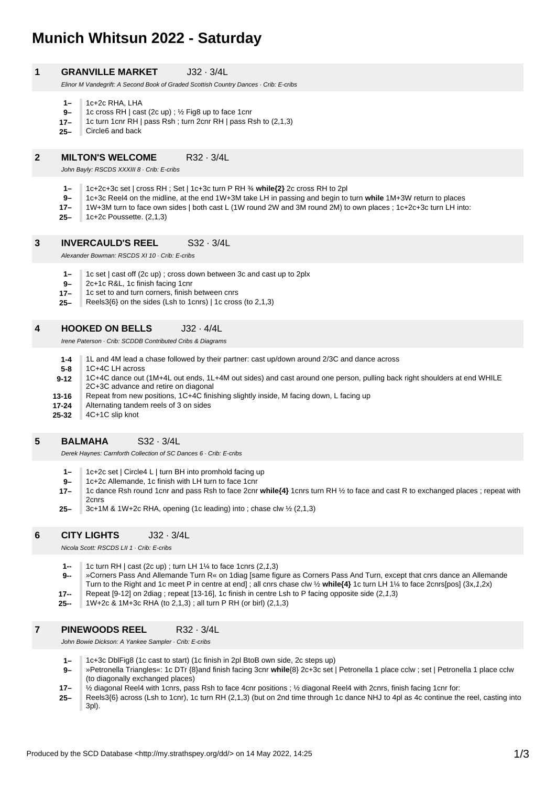# **Munich Whitsun 2022 - Saturday**

# **1 GRANVILLE MARKET** J32 · 3/4L

Elinor M Vandegrift: A Second Book of Graded Scottish Country Dances · Crib: E-cribs

- **1–**  $1c+2c$  RHA, I HA
- **9–** 1c cross RH | cast (2c up) ; ½ Fig8 up to face 1cnr
- **17–** 1c turn 1cnr RH | pass Rsh ; turn 2cnr RH | pass Rsh to (2,1,3)
- **25–** Circle6 and back

### **2 MILTON'S WELCOME** R32 · 3/4L

John Bayly: RSCDS XXXIII 8 · Crib: E-cribs

- **1–** 1c+2c+3c set | cross RH ; Set | 1c+3c turn P RH ¾ **while{2}** 2c cross RH to 2pl
- **9–** 1c+3c Reel4 on the midline, at the end 1W+3M take LH in passing and begin to turn **while** 1M+3W return to places
- **17–** 1W+3M turn to face own sides | both cast L (1W round 2W and 3M round 2M) to own places ; 1c+2c+3c turn LH into:
- **25–** 1c+2c Poussette. (2,1,3)

#### **3 INVERCAULD'S REEL** S32 · 3/4L

Alexander Bowman: RSCDS XI 10 · Crib: E-cribs

- **1–** 1c set | cast off (2c up) ; cross down between 3c and cast up to 2plx
- **9–** 2c+1c R&L, 1c finish facing 1cnr
- **17–** 1c set to and turn corners, finish between cnrs
- **25–** Reels3{6} on the sides (Lsh to 1cnrs) | 1c cross (to 2,1,3)

# **4 HOOKED ON BELLS** J32 · 4/4L

Irene Paterson · Crib: SCDDB Contributed Cribs & Diagrams

**25-32 17-24 13-16 9-12 5-8 1-4** 1L and 4M lead a chase followed by their partner: cast up/down around 2/3C and dance across 1C+4C LH across 1C+4C dance out (1M+4L out ends, 1L+4M out sides) and cast around one person, pulling back right shoulders at end WHILE 2C+3C advance and retire on diagonal Repeat from new positions, 1C+4C finishing slightly inside, M facing down, L facing up Alternating tandem reels of 3 on sides 4C+1C slip knot

#### **5 BALMAHA** S32 · 3/4L

Derek Haynes: Carnforth Collection of SC Dances 6 · Crib: E-cribs

- **1–** 1c+2c set | Circle4 L | turn BH into promhold facing up
- **9–** 1c+2c Allemande, 1c finish with LH turn to face 1cnr
- **17–** 1c dance Rsh round 1cnr and pass Rsh to face 2cnr **while{4}** 1cnrs turn RH ½ to face and cast R to exchanged places ; repeat with 2cnrs
- **25–** 3c+1M & 1W+2c RHA, opening (1c leading) into ; chase clw ½ (2,1,3)

# **6 CITY LIGHTS** J32 · 3/4L

Nicola Scott: RSCDS LII 1 · Crib: E-cribs

- **1--** 1c turn RH | cast (2c up) ; turn LH 1¼ to face 1cnrs (2,1,3)
- **9--** »Corners Pass And Allemande Turn R« on 1diag [same figure as Corners Pass And Turn, except that cnrs dance an Allemande Turn to the Right and 1c meet P in centre at end] ; all cnrs chase clw ½ **while{4}** 1c turn LH 1¼ to face 2cnrs[pos] (3x,1,2x)
- **17--** Repeat [9-12] on 2diag ; repeat [13-16], 1c finish in centre Lsh to P facing opposite side (2,1,3)
- **25--** 1W+2c & 1M+3c RHA (to 2,1,3) ; all turn P RH (or birl) (2,1,3)

#### **7 PINEWOODS REEL** R32 · 3/4L

John Bowie Dickson: A Yankee Sampler · Crib: E-cribs

- **1–** 1c+3c DblFig8 (1c cast to start) (1c finish in 2pl BtoB own side, 2c steps up)
- **9–** »Petronella Triangles«: 1c DTr {8}and finish facing 3cnr **while**{8} 2c+3c set | Petronella 1 place cclw ; set | Petronella 1 place cclw (to diagonally exchanged places)
- **17–** ½ diagonal Reel4 with 1cnrs, pass Rsh to face 4cnr positions ; ½ diagonal Reel4 with 2cnrs, finish facing 1cnr for:
- **25–** Reels3{6} across (Lsh to 1cnr), 1c turn RH (2,1,3) (but on 2nd time through 1c dance NHJ to 4pl as 4c continue the reel, casting into 3pl).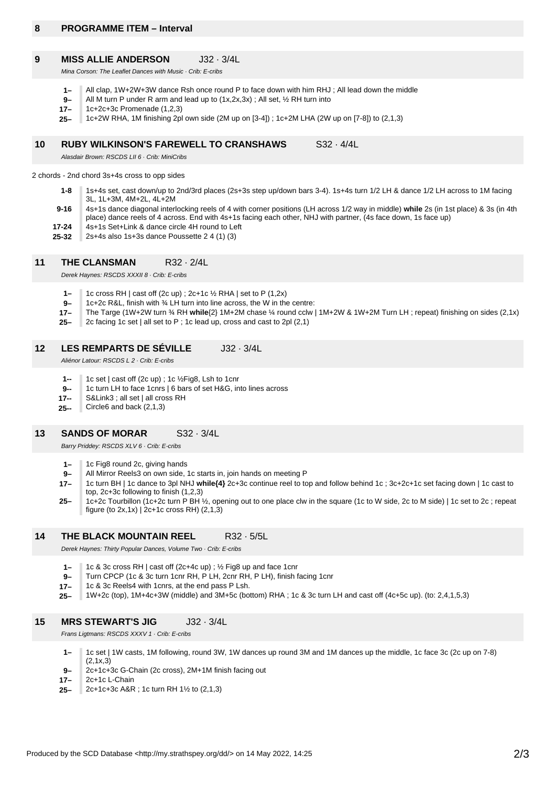# **8 PROGRAMME ITEM – Interval**

#### **9 MISS ALLIE ANDERSON** J32 · 3/4L

Mina Corson: The Leaflet Dances with Music · Crib: E-cribs

- **1–** All clap, 1W+2W+3W dance Rsh once round P to face down with him RHJ ; All lead down the middle
- **9–** All M turn P under R arm and lead up to  $(1x, 2x, 3x)$ ; All set,  $\frac{1}{2}$  RH turn into
- **17–** 1c+2c+3c Promenade (1,2,3)
- **25–** 1c+2W RHA, 1M finishing 2pl own side (2M up on [3-4]) ; 1c+2M LHA (2W up on [7-8]) to (2,1,3)

#### **10 RUBY WILKINSON'S FAREWELL TO CRANSHAWS** S32 · 4/4L

Alasdair Brown: RSCDS LII 6 · Crib: MiniCribs

2 chords - 2nd chord 3s+4s cross to opp sides

- **1-8** 1s+4s set, cast down/up to 2nd/3rd places (2s+3s step up/down bars 3-4). 1s+4s turn 1/2 LH & dance 1/2 LH across to 1M facing 3L, 1L+3M, 4M+2L, 4L+2M
- **9-16** 4s+1s dance diagonal interlocking reels of 4 with corner positions (LH across 1/2 way in middle) **while** 2s (in 1st place) & 3s (in 4th
- place) dance reels of 4 across. End with 4s+1s facing each other, NHJ with partner, (4s face down, 1s face up)
- **25-32 17-24** 4s+1s Set+Link & dance circle 4H round to Left 2s+4s also 1s+3s dance Poussette 2 4 (1) (3)
- 

# **11 THE CLANSMAN** R32 · 2/4L

Derek Haynes: RSCDS XXXII 8 · Crib: E-cribs

- **1–** 1c cross RH | cast off (2c up) ; 2c+1c ½ RHA | set to P (1,2x)
- **9–** 1c+2c R&L, finish with ¾ LH turn into line across, the W in the centre:
- **17–** The Targe (1W+2W turn ¾ RH **while**{2} 1M+2M chase ¼ round cclw | 1M+2W & 1W+2M Turn LH ; repeat) finishing on sides (2,1x)
- **25–** 2c facing 1c set | all set to P ; 1c lead up, cross and cast to 2pl (2,1)

#### **12 LES REMPARTS DE SÉVILLE** J32 · 3/4L

Aliénor Latour: RSCDS L 2 · Crib: E-cribs

- **1--** 1c set | cast off (2c up) ; 1c ½Fig8, Lsh to 1cnr
- **9--** 1c turn LH to face 1cnrs | 6 bars of set H&G, into lines across
- **17--** S&Link3 ; all set | all cross RH
- **25--** Circle6 and back (2,1,3)

#### **13 SANDS OF MORAR** S32 · 3/4L

Barry Priddey: RSCDS XLV 6 · Crib: E-cribs

- **1–** 1c Fig8 round 2c, giving hands
- **9–** All Mirror Reels3 on own side, 1c starts in, join hands on meeting P
- **17–** 1c turn BH | 1c dance to 3pl NHJ **while{4}** 2c+3c continue reel to top and follow behind 1c ; 3c+2c+1c set facing down | 1c cast to top, 2c+3c following to finish (1,2,3)
- **25–** 1c+2c Tourbillon (1c+2c turn P BH ½, opening out to one place clw in the square (1c to W side, 2c to M side) | 1c set to 2c ; repeat figure (to  $2x,1x$ ) |  $2c+1c$  cross RH) (2,1,3)

# **14 THE BLACK MOUNTAIN REEL** R32 · 5/5L

Derek Haynes: Thirty Popular Dances, Volume Two · Crib: E-cribs

**1–** 1c & 3c cross RH | cast off (2c+4c up) ; ½ Fig8 up and face 1cnr

**9–** Turn CPCP (1c & 3c turn 1cnr RH, P LH, 2cnr RH, P LH), finish facing 1cnr

- **17–** 1c & 3c Reels4 with 1cnrs, at the end pass P Lsh.
- **25–** 1W+2c (top), 1M+4c+3W (middle) and 3M+5c (bottom) RHA ; 1c & 3c turn LH and cast off (4c+5c up). (to: 2,4,1,5,3)

# **15 MRS STEWART'S JIG** J32 · 3/4L

Frans Ligtmans: RSCDS XXXV 1 · Crib: E-cribs

- **1–** 1c set | 1W casts, 1M following, round 3W, 1W dances up round 3M and 1M dances up the middle, 1c face 3c (2c up on 7-8)  $(2.1x.3)$
- **9–** 2c+1c+3c G-Chain (2c cross), 2M+1M finish facing out
- **17–** 2c+1c L-Chain
- **25–** 2c+1c+3c A&R ; 1c turn RH 1½ to (2,1,3)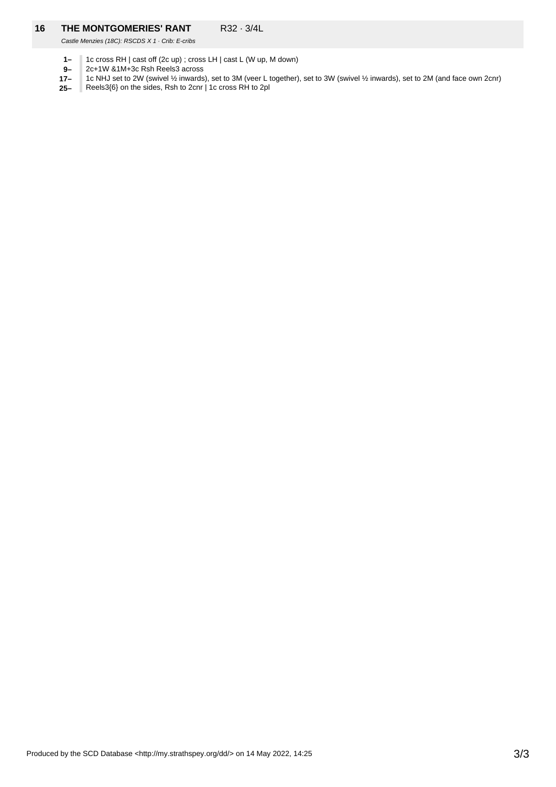# **16 THE MONTGOMERIES' RANT** R32 · 3/4L

Castle Menzies (18C): RSCDS X 1 · Crib: E-cribs

- **1–** 1c cross RH | cast off (2c up) ; cross LH | cast L (W up, M down)
- **9–** 2c+1W &1M+3c Rsh Reels3 across
- **17–** 1c NHJ set to 2W (swivel ½ inwards), set to 3M (veer L together), set to 3W (swivel ½ inwards), set to 2M (and face own 2cnr)
- Reels3{6} on the sides, Rsh to 2cnr | 1c cross RH to 2pl**25–** ı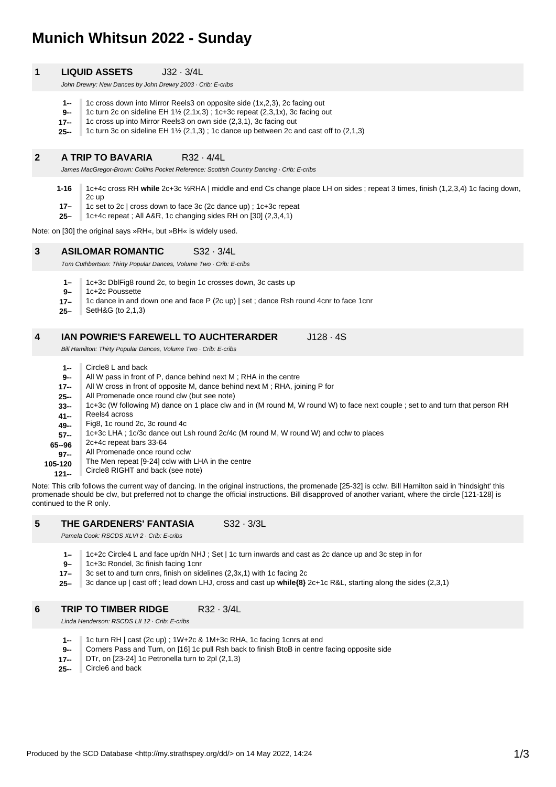# **Munich Whitsun 2022 - Sunday**

| <b>LIQUID ASSETS</b><br>1 | $J32 \cdot 3/4L$ |
|---------------------------|------------------|
|---------------------------|------------------|

John Drewry: New Dances by John Drewry 2003 · Crib: E-cribs

- **1--** 1c cross down into Mirror Reels3 on opposite side (1x,2,3), 2c facing out
- **9--** 1c turn 2c on sideline EH 1½ (2,1x,3) ; 1c+3c repeat (2,3,1x), 3c facing out
- **17--** 1c cross up into Mirror Reels3 on own side (2,3,1), 3c facing out
- **25--** 1c turn 3c on sideline EH 1½ (2,1,3) ; 1c dance up between 2c and cast off to (2,1,3)

# **2 A TRIP TO BAVARIA** R32 · 4/4L

James MacGregor-Brown: Collins Pocket Reference: Scottish Country Dancing · Crib: E-cribs

- **1-16** 1c+4c cross RH **while** 2c+3c ½RHA | middle and end Cs change place LH on sides ; repeat 3 times, finish (1,2,3,4) 1c facing down, 2c up
- **17–** 1c set to 2c | cross down to face 3c (2c dance up) ; 1c+3c repeat
- **25–** 1c+4c repeat ; All A&R, 1c changing sides RH on [30] (2,3,4,1)

Note: on [30] the original says »RH«, but »BH« is widely used.

#### **3 ASILOMAR ROMANTIC** S32 · 3/4L

Tom Cuthbertson: Thirty Popular Dances, Volume Two · Crib: E-cribs

- **1–** 1c+3c DblFig8 round 2c, to begin 1c crosses down, 3c casts up
- **9–** 1c+2c Poussette
- **17–** 1c dance in and down one and face P (2c up) | set ; dance Rsh round 4cnr to face 1cnr
- **25–** SetH&G (to 2,1,3)

#### **4 IAN POWRIE'S FAREWELL TO AUCHTERARDER** J128 · 4S

Bill Hamilton: Thirty Popular Dances, Volume Two · Crib: E-cribs

- **1--** Circle8 L and back
- **9--** All W pass in front of P, dance behind next M ; RHA in the centre
- **17--** All W cross in front of opposite M, dance behind next M ; RHA, joining P for
- **25--** All Promenade once round clw (but see note)
- **33--** 1c+3c (W following M) dance on 1 place clw and in (M round M, W round W) to face next couple ; set to and turn that person RH
- **41--** Reels4 across
- **49--** Fig8, 1c round 2c, 3c round 4c
- **57--** 1c+3c LHA ; 1c/3c dance out Lsh round 2c/4c (M round M, W round W) and cclw to places
- **65--96** 2c+4c repeat bars 33-64
- **97--** All Promenade once round cclw
- **105-120** The Men repeat [9-24] cclw with LHA in the centre
	- **121--** Circle8 RIGHT and back (see note)

Note: This crib follows the current way of dancing. In the original instructions, the promenade [25-32] is cclw. Bill Hamilton said in 'hindsight' this promenade should be clw, but preferred not to change the official instructions. Bill disapproved of another variant, where the circle [121-128] is continued to the R only.

#### **5 THE GARDENERS' FANTASIA** S32 · 3/3L

Pamela Cook: RSCDS XLVI 2 · Crib: E-cribs

- **1–** 1c+2c Circle4 L and face up/dn NHJ ; Set | 1c turn inwards and cast as 2c dance up and 3c step in for
- **9–** 1c+3c Rondel, 3c finish facing 1cnr
- **17–** 3c set to and turn cnrs, finish on sidelines (2,3x,1) with 1c facing 2c
- **25–** 3c dance up | cast off ; lead down LHJ, cross and cast up **while{8}** 2c+1c R&L, starting along the sides (2,3,1)

## **6 TRIP TO TIMBER RIDGE** R32 · 3/4L

Linda Henderson: RSCDS LII 12 · Crib: E-cribs

- **1--** 1c turn RH | cast (2c up) ; 1W+2c & 1M+3c RHA, 1c facing 1cnrs at end
- **9--** Corners Pass and Turn, on [16] 1c pull Rsh back to finish BtoB in centre facing opposite side
- **17--** DTr, on [23-24] 1c Petronella turn to 2pl (2,1,3)
- **25--** Circle6 and back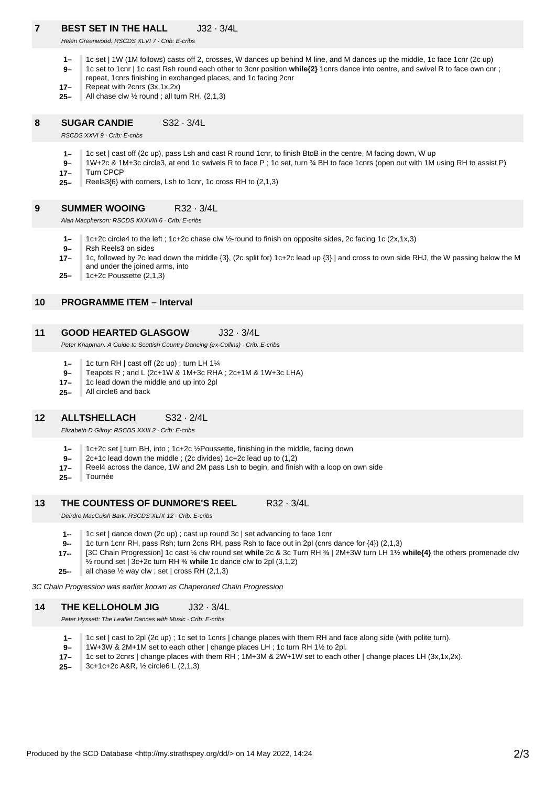# **REST SET IN THE HALL J32 · 3/4L**

Helen Greenwood: RSCDS XLVI 7 · Crib: E-cribs

- **1–** 1c set | 1W (1M follows) casts off 2, crosses, W dances up behind M line, and M dances up the middle, 1c face 1cnr (2c up)
- **9–** 1c set to 1cnr | 1c cast Rsh round each other to 3cnr position **while{2}** 1cnrs dance into centre, and swivel R to face own cnr ;
- repeat, 1cnrs finishing in exchanged places, and 1c facing 2cnr
- **17–** Repeat with 2cnrs (3x,1x,2x)
- **25–** All chase clw ½ round ; all turn RH. (2,1,3)

# **8 SUGAR CANDIE** S32 · 3/4L

RSCDS XXVI 9 · Crib: E-cribs

- **1–** 1c set | cast off (2c up), pass Lsh and cast R round 1cnr, to finish BtoB in the centre, M facing down, W up
- **17– 9–** 1W+2c & 1M+3c circle3, at end 1c swivels R to face P ; 1c set, turn ¾ BH to face 1cnrs (open out with 1M using RH to assist P) Turn CPCP
- **25–** Reels3{6} with corners, Lsh to 1cnr, 1c cross RH to (2,1,3)

#### **9 SUMMER WOOING** R32 · 3/4L

Alan Macpherson: RSCDS XXXVIII 6 · Crib: E-cribs

- **1–** 1c+2c circle4 to the left ; 1c+2c chase clw ½-round to finish on opposite sides, 2c facing 1c (2x,1x,3)
- **9–** Rsh Reels3 on sides
- **17–** 1c, followed by 2c lead down the middle {3}, (2c split for) 1c+2c lead up {3} | and cross to own side RHJ, the W passing below the M and under the joined arms, into
- **25–** 1c+2c Poussette (2,1,3)

# **10 PROGRAMME ITEM – Interval**

### **11 GOOD HEARTED GLASGOW** J32 · 3/4L

Peter Knapman: A Guide to Scottish Country Dancing (ex-Collins) · Crib: E-cribs

- **1–** 1c turn RH | cast off (2c up) ; turn LH 1¼
- **9–** Teapots R ; and L (2c+1W & 1M+3c RHA ; 2c+1M & 1W+3c LHA)
- **17–** 1c lead down the middle and up into 2pl
- **25–** All circle6 and back

# **12 ALLTSHELLACH** S32 · 2/4L

Elizabeth D Gilroy: RSCDS XXIII 2 · Crib: E-cribs

- **1–** 1c+2c set | turn BH, into ; 1c+2c ½Poussette, finishing in the middle, facing down
- **9–** 2c+1c lead down the middle ; (2c divides) 1c+2c lead up to (1,2)
- **17–** Reel4 across the dance, 1W and 2M pass Lsh to begin, and finish with a loop on own side
- **25–** Tournée

#### **13 THE COUNTESS OF DUNMORE'S REEL** R32 · 3/4L

Deirdre MacCuish Bark: RSCDS XLIX 12 · Crib: E-cribs

- **1--** 1c set | dance down (2c up) ; cast up round 3c | set advancing to face 1cnr
- **9--** 1c turn 1cnr RH, pass Rsh; turn 2cns RH, pass Rsh to face out in 2pl (cnrs dance for {4}) (2,1,3)
- **17--** [3C Chain Progression] 1c cast ¼ clw round set **while** 2c & 3c Turn RH ¾ | 2M+3W turn LH 1½ **while{4}** the others promenade clw
	- ½ round set | 3c+2c turn RH ¾ **while** 1c dance clw to 2pl (3,1,2)
- **25-** all chase  $\frac{1}{2}$  way clw; set | cross RH (2,1,3)

3C Chain Progression was earlier known as Chaperoned Chain Progression

# **14 THE KELLOHOLM JIG** J32 · 3/4L

Peter Hyssett: The Leaflet Dances with Music · Crib: E-cribs

- **1–** 1c set | cast to 2pl (2c up) ; 1c set to 1cnrs | change places with them RH and face along side (with polite turn).
- **9–** 1W+3W & 2M+1M set to each other | change places LH ; 1c turn RH 1½ to 2pl.
- **17–** 1c set to 2cnrs | change places with them RH ; 1M+3M & 2W+1W set to each other | change places LH (3x,1x,2x).
- **25–** 3c+1c+2c A&R, ½ circle6 L (2,1,3)